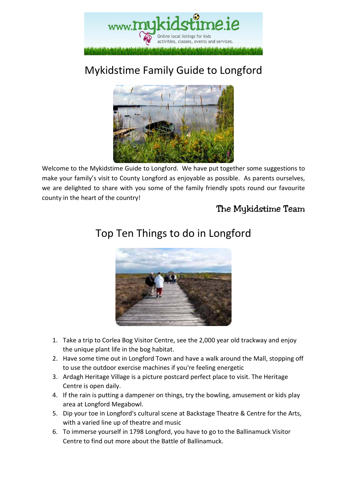

# Mykidstime Family Guide to Longford



Welcome to the Mykidstime Guide to Longford. We have put together some suggestions to make your family's visit to County Longford as enjoyable as possible. As parents ourselves, we are delighted to share with you some of the family friendly spots round our favourite county in the heart of the country!

### The Mykidstime Team



### Top Ten Things to do in Longford

- 1. Take a trip to Corlea Bog Visitor Centre, see the 2,000 year old trackway and enjoy the unique plant life in the bog habitat.
- 2. Have some time out in Longford Town and have a walk around the Mall, stopping off to use the outdoor exercise machines if you're feeling energetic
- 3. Ardagh Heritage Village is a picture postcard perfect place to visit. The Heritage Centre is open daily.
- 4. If the rain is putting a dampener on things, try the bowling, amusement or kids play area at Longford Megabowl.
- 5. Dip your toe in Longford's cultural scene at Backstage Theatre & Centre for the Arts, with a varied line up of theatre and music
- 6. To immerse yourself in 1798 Longford, you have to go to the Ballinamuck Visitor Centre to find out more about the Battle of Ballinamuck.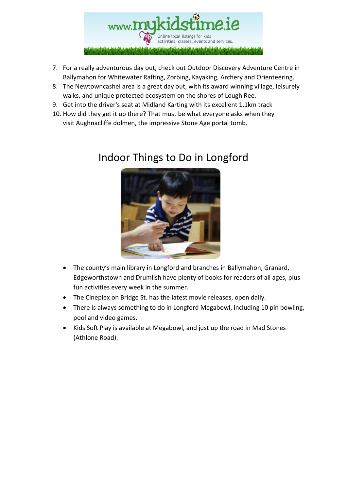

- 7. For a really adventurous day out, check out Outdoor Discovery Adventure Centre in Ballymahon for Whitewater Rafting, Zorbing, Kayaking, Archery and Orienteering.
- 8. The Newtowncashel area is a great day out, with its award winning village, leisurely walks, and unique protected ecosystem on the shores of Lough Ree.
- 9. Get into the driver's seat at Midland Karting with its excellent 1.1km track
- 10. How did they get it up there? That must be what everyone asks when they visit Aughnacliffe dolmen, the impressive Stone Age portal tomb.

### Indoor Things to Do in Longford



- The county's main library in Longford and branches in Ballymahon, Granard, Edgeworthstown and Drumlish have plenty of books for readers of all ages, plus fun activities every week in the summer.
- The Cineplex on Bridge St. has the latest movie releases, open daily.
- There is always something to do in Longford Megabowl, including 10 pin bowling, pool and video games.
- Kids Soft Play is available at Megabowl, and just up the road in Mad Stones (Athlone Road).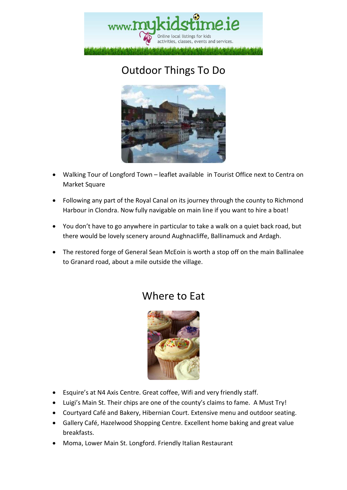

# Outdoor Things To Do



- Walking Tour of Longford Town leaflet available in Tourist Office next to Centra on Market Square
- Following any part of the Royal Canal on its journey through the county to Richmond Harbour in Clondra. Now fully navigable on main line if you want to hire a boat!
- You don't have to go anywhere in particular to take a walk on a quiet back road, but there would be lovely scenery around Aughnacliffe, Ballinamuck and Ardagh.
- The restored forge of General Sean McEoin is worth a stop off on the main Ballinalee to Granard road, about a mile outside the village.

### Where to Eat



- Esquire's at N4 Axis Centre. Great coffee, Wifi and very friendly staff.
- Luigi's Main St. Their chips are one of the county's claims to fame. A Must Try!
- Courtyard Café and Bakery, Hibernian Court. Extensive menu and outdoor seating.
- Gallery Café, Hazelwood Shopping Centre. Excellent home baking and great value breakfasts.
- Moma, Lower Main St. Longford. Friendly Italian Restaurant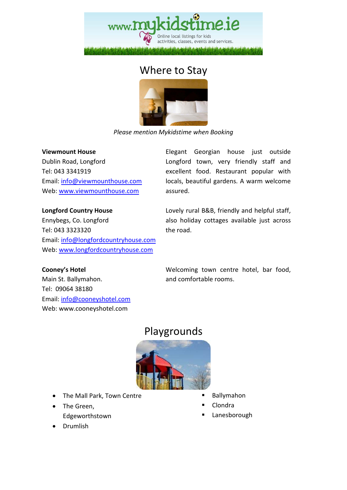

### Where to Stay



*Please mention Mykidstime when Booking* 

#### **Viewmount House**

**Longford Country House** 

Dublin Road, Longford Tel: 043 3341919 Email: info@viewmounthouse.com Web: www.viewmounthouse.com

Elegant Georgian house just outside Longford town, very friendly staff and excellent food. Restaurant popular with locals, beautiful gardens. A warm welcome assured.

Lovely rural B&B, friendly and helpful staff, also holiday cottages available just across the road.

Ennybegs, Co. Longford Tel: 043 3323320 Email: info@longfordcountryhouse.com Web: www.longfordcountryhouse.com

**Cooney's Hotel**  Main St. Ballymahon. Tel: 09064 38180 Email: info@cooneyshotel.com Web: www.cooneyshotel.com

Welcoming town centre hotel, bar food, and comfortable rooms.

### Playgrounds



- The Mall Park, Town Centre
- The Green, Edgeworthstown
- Drumlish
- Ballymahon
- Clondra
- Lanesborough